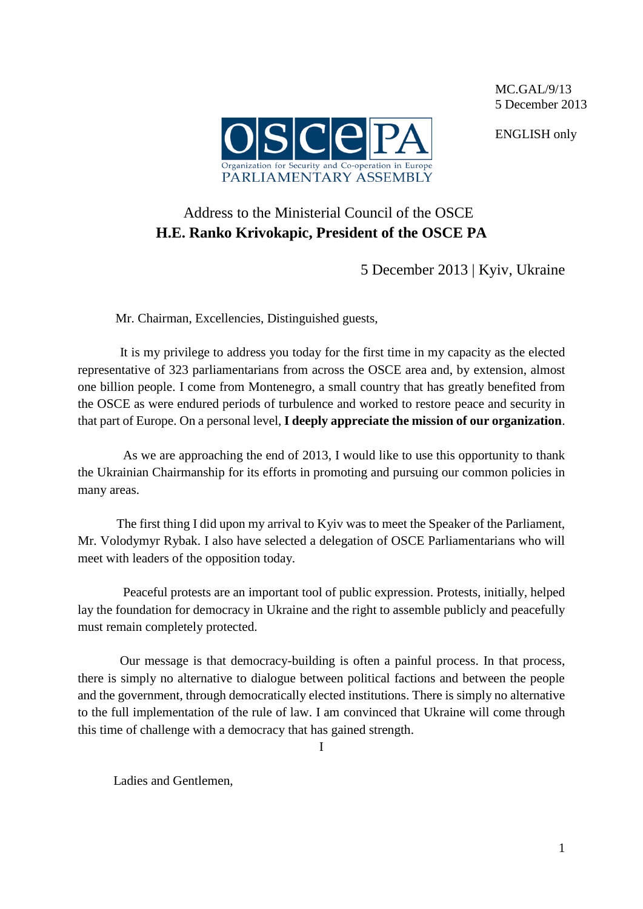

MC.GAL/9/13 5 December 2013

ENGLISH only

## Address to the Ministerial Council of the OSCE **H.E. Ranko Krivokapic, President of the OSCE PA**

5 December 2013 | Kyiv, Ukraine

Mr. Chairman, Excellencies, Distinguished guests,

It is my privilege to address you today for the first time in my capacity as the elected representative of 323 parliamentarians from across the OSCE area and, by extension, almost one billion people. I come from Montenegro, a small country that has greatly benefited from the OSCE as were endured periods of turbulence and worked to restore peace and security in that part of Europe. On a personal level, **I deeply appreciate the mission of our organization**.

 As we are approaching the end of 2013, I would like to use this opportunity to thank the Ukrainian Chairmanship for its efforts in promoting and pursuing our common policies in many areas.

 The first thing I did upon my arrival to Kyiv was to meet the Speaker of the Parliament, Mr. Volodymyr Rybak. I also have selected a delegation of OSCE Parliamentarians who will meet with leaders of the opposition today.

 Peaceful protests are an important tool of public expression. Protests, initially, helped lay the foundation for democracy in Ukraine and the right to assemble publicly and peacefully must remain completely protected.

 Our message is that democracy-building is often a painful process. In that process, there is simply no alternative to dialogue between political factions and between the people and the government, through democratically elected institutions. There is simply no alternative to the full implementation of the rule of law. I am convinced that Ukraine will come through this time of challenge with a democracy that has gained strength.

I

Ladies and Gentlemen,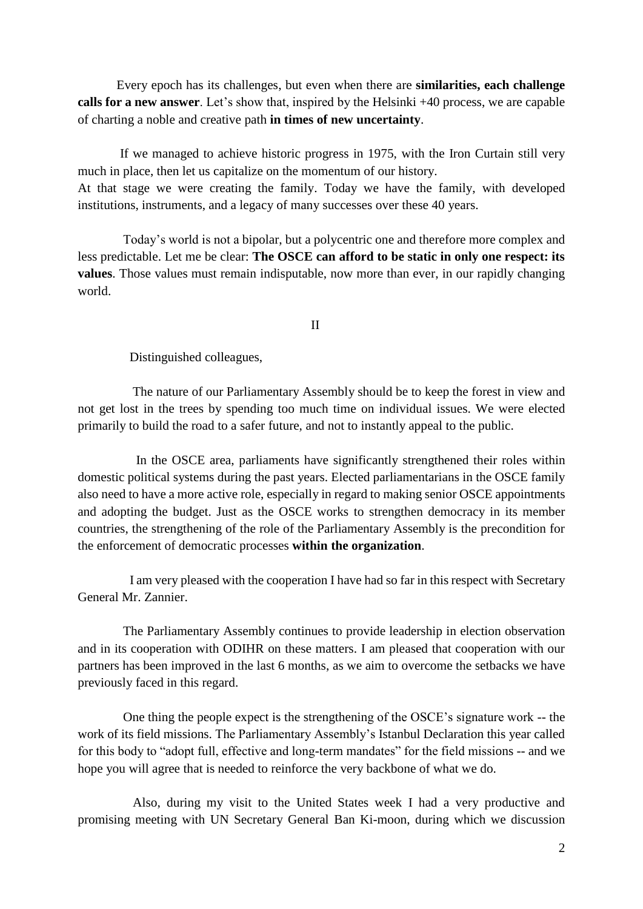Every epoch has its challenges, but even when there are **similarities, each challenge calls for a new answer**. Let's show that, inspired by the Helsinki +40 process, we are capable of charting a noble and creative path **in times of new uncertainty**.

 If we managed to achieve historic progress in 1975, with the Iron Curtain still very much in place, then let us capitalize on the momentum of our history. At that stage we were creating the family. Today we have the family, with developed institutions, instruments, and a legacy of many successes over these 40 years.

 Today's world is not a bipolar, but a polycentric one and therefore more complex and less predictable. Let me be clear: **The OSCE can afford to be static in only one respect: its values**. Those values must remain indisputable, now more than ever, in our rapidly changing world.

II

Distinguished colleagues,

 The nature of our Parliamentary Assembly should be to keep the forest in view and not get lost in the trees by spending too much time on individual issues. We were elected primarily to build the road to a safer future, and not to instantly appeal to the public.

 In the OSCE area, parliaments have significantly strengthened their roles within domestic political systems during the past years. Elected parliamentarians in the OSCE family also need to have a more active role, especially in regard to making senior OSCE appointments and adopting the budget. Just as the OSCE works to strengthen democracy in its member countries, the strengthening of the role of the Parliamentary Assembly is the precondition for the enforcement of democratic processes **within the organization**.

 I am very pleased with the cooperation I have had so far in this respect with Secretary General Mr. Zannier.

 The Parliamentary Assembly continues to provide leadership in election observation and in its cooperation with ODIHR on these matters. I am pleased that cooperation with our partners has been improved in the last 6 months, as we aim to overcome the setbacks we have previously faced in this regard.

 One thing the people expect is the strengthening of the OSCE's signature work -- the work of its field missions. The Parliamentary Assembly's Istanbul Declaration this year called for this body to "adopt full, effective and long-term mandates" for the field missions -- and we hope you will agree that is needed to reinforce the very backbone of what we do.

 Also, during my visit to the United States week I had a very productive and promising meeting with UN Secretary General Ban Ki-moon, during which we discussion